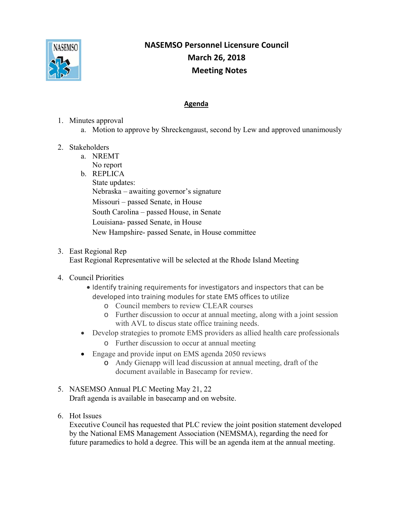

## **NASEMSO Personnel Licensure Council March 26, 2018 Meeting Notes**

## **Agenda**

- 1. Minutes approval
	- a. Motion to approve by Shreckengaust, second by Lew and approved unanimously
- 2. Stakeholders
	- a. NREMT No report
	- b. REPLICA
		- State updates: Nebraska – awaiting governor's signature Missouri – passed Senate, in House South Carolina – passed House, in Senate Louisiana- passed Senate, in House New Hampshire- passed Senate, in House committee

## 3. East Regional Rep

East Regional Representative will be selected at the Rhode Island Meeting

## 4. Council Priorities

- Identify training requirements for investigators and inspectors that can be developed into training modules for state EMS offices to utilize
	- o Council members to review CLEAR courses
	- o Further discussion to occur at annual meeting, along with a joint session with AVL to discus state office training needs.
- Develop strategies to promote EMS providers as allied health care professionals
	- o Further discussion to occur at annual meeting
- Engage and provide input on EMS agenda 2050 reviews
	- o Andy Gienapp will lead discussion at annual meeting, draft of the document available in Basecamp for review.
- 5. NASEMSO Annual PLC Meeting May 21, 22 Draft agenda is available in basecamp and on website.
- 6. Hot Issues

Executive Council has requested that PLC review the joint position statement developed by the National EMS Management Association (NEMSMA), regarding the need for future paramedics to hold a degree. This will be an agenda item at the annual meeting.